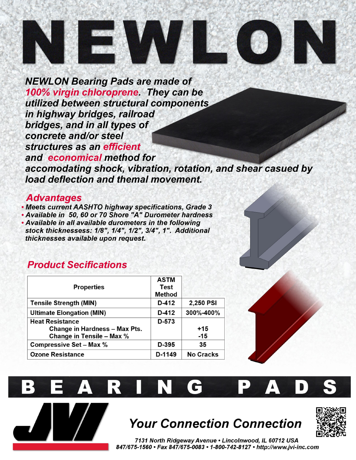# 

**NEWLON Bearing Pads are made of** 100% virgin chloroprene. They can be utilized between structural components in highway bridges, railroad bridges, and in all types of concrete and/or steel structures as an efficient and economical method for accomodating shock, vibration, rotation, and shear casued by load deflection and themal movement.

### **Advantages**

. Meets current AASHTO highway specifications, Grade 3 • Available in 50, 60 or 70 Shore "A" Durometer hardness . Available in all available durometers in the following stock thicknessess: 1/8", 1/4", 1/2", 3/4", 1". Additional thicknesses available upon request.

## **Product Secifications**

| <b>Properties</b>                    | <b>ASTM</b><br>Test<br><b>Method</b> |                  |
|--------------------------------------|--------------------------------------|------------------|
| <b>Tensile Strength (MIN)</b>        | D-412                                | 2,250 PSI        |
| <b>Ultimate Elongation (MIN)</b>     | D-412                                | 300%-400%        |
| <b>Heat Resistance</b>               | D-573                                |                  |
| <b>Change in Hardness - Max Pts.</b> |                                      | $+15$            |
| <b>Change in Tensile - Max %</b>     |                                      | $-15$            |
| <b>Compressive Set - Max %</b>       | D-395                                | 35               |
| <b>Ozone Resistance</b>              | D-1149                               | <b>No Cracks</b> |



# **Your Connection Connection**



7131 North Ridgeway Avenue . Lincolnwood, IL 60712 USA 847/675-1560 • Fax 847/675-0083 • 1-800-742-8127 • http://www.jvi-inc.com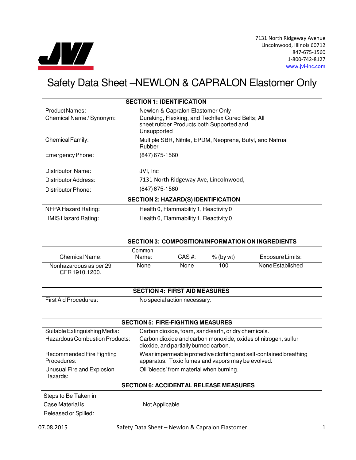

7131 North Ridgeway Avenue Lincolnwood, Illinois 60712 847-675-1560 1-800-742-8127 www.jvi-inc.com

# Safety Data Sheet –NEWLON & CAPRALON Elastomer Only

| <b>SECTION 1: IDENTIFICATION</b>           |                                                                                                              |  |
|--------------------------------------------|--------------------------------------------------------------------------------------------------------------|--|
| <b>Product Names:</b>                      | Newlon & Capralon Elastomer Only                                                                             |  |
| Chemical Name / Synonym:                   | Duraking, Flexking, and Techflex Cured Belts; All<br>sheet rubber Products both Supported and<br>Unsupported |  |
| Chemical Family:                           | Multiple SBR, Nitrile, EPDM, Neoprene, Butyl, and Natrual<br>Rubber                                          |  |
| Emergency Phone:                           | $(847)$ 675-1560                                                                                             |  |
| Distributor Name:                          | JVI, Inc                                                                                                     |  |
| Distributor Address:                       | 7131 North Ridgeway Ave, Lincolnwood,                                                                        |  |
| Distributor Phone:                         | $(847)$ 675-1560                                                                                             |  |
| <b>SECTION 2: HAZARD(S) IDENTIFICATION</b> |                                                                                                              |  |
| NFPA Hazard Rating:                        | Health 0, Flammability 1, Reactivity 0                                                                       |  |
| <b>HMIS Hazard Rating:</b>                 | Health 0, Flammability 1, Reactivity 0                                                                       |  |

|                                         |                 |        |             | <b>SECTION 3: COMPOSITION/INFORMATION ON INGREDIENTS</b> |
|-----------------------------------------|-----------------|--------|-------------|----------------------------------------------------------|
| Chemical Name:                          | Common<br>Name: | CAS #: | $%$ (by wt) | Exposure Limits:                                         |
| Nonhazardous as per 29<br>CFR1910.1200. | None            | None   | 100         | None Established                                         |

#### **SECTION 4: FIRST AID MEASURES**

First Aid Procedures: No special action necessary.

#### **SECTION 5: FIRE-FIGHTING MEASURES**

| Suitable Extinguishing Media:            | Carbon dioxide, foam, sand/earth, or dry chemicals.                                                                    |
|------------------------------------------|------------------------------------------------------------------------------------------------------------------------|
| Hazardous Combustion Products:           | Carbon dioxide and carbon monoxide, oxides of nitrogen, sulfur<br>dioxide, and partially burned carbon.                |
| Recommended Fire Fighting<br>Procedures: | Wear impermeable protective clothing and self-contained breathing<br>apparatus. Toxic fumes and vapors may be evolved. |
| Unusual Fire and Explosion<br>Hazards:   | Oil 'bleeds' from material when burning.                                                                               |

#### **SECTION 6: ACCIDENTAL RELEASE MEASURES**

Steps to Be Taken in Case Material is Not Applicable Released or Spilled: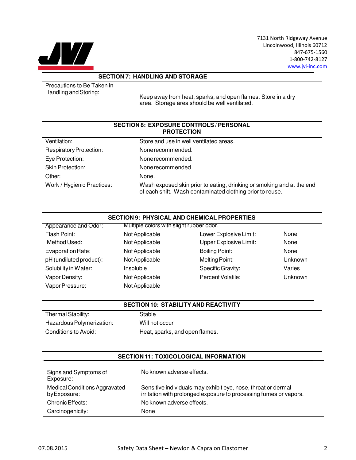

7131 North Ridgeway Avenue Lincolnwood, Illinois 60712 847-675-1560 1-800-742-8127 www.jvi-inc.com

#### **SECTION 7: HANDLING AND STORAGE**

Precautions to Be Taken in Handling and Storing:

Keep away from heat, sparks, and open flames. Store in a dry area. Storage area should be well ventilated.

#### **SECTION 8: EXPOSURE CONTROLS / PERSONAL PROTECTION**

| Ventilation:                   | Store and use in well ventilated areas.                                                                                            |
|--------------------------------|------------------------------------------------------------------------------------------------------------------------------------|
| <b>Respiratory Protection:</b> | None recommended.                                                                                                                  |
| Eye Protection:                | None recommended.                                                                                                                  |
| <b>Skin Protection:</b>        | None recommended.                                                                                                                  |
| Other:                         | None.                                                                                                                              |
| Work / Hygienic Practices:     | Wash exposed skin prior to eating, drinking or smoking and at the end<br>of each shift. Wash contaminated clothing prior to reuse. |

#### **SECTION 9: PHYSICAL AND CHEMICAL PROPERTIES**

| Not Applicable | Lower Explosive Limit: | None                                     |
|----------------|------------------------|------------------------------------------|
| Not Applicable | Upper Explosive Limit: | None                                     |
| Not Applicable | <b>Boiling Point:</b>  | None                                     |
| Not Applicable | Melting Point:         | Unknown                                  |
| Insoluble      | Specific Gravity:      | Varies                                   |
| Not Applicable | Percent Volatile:      | Unknown                                  |
| Not Applicable |                        |                                          |
|                |                        | Multiple colors with slight rubber odor. |

#### **SECTION 10: STABILITY AND REACTIVITY**

Thermal Stability: Stable Hazardous Polymerization: Will not occur

Conditions to Avoid: Heat, sparks, and open flames.

#### **SECTION 11: TOXICOLOGICAL INFORMATION**

| Signs and Symptoms of<br>Exposure:            | No known adverse effects.                                                                                                          |
|-----------------------------------------------|------------------------------------------------------------------------------------------------------------------------------------|
| Medical Conditions Aggravated<br>by Exposure: | Sensitive individuals may exhibit eye, nose, throat or dermal<br>irritation with prolonged exposure to processing fumes or vapors. |
| Chronic Effects:                              | No known adverse effects.                                                                                                          |
| Carcinogenicity:                              | None                                                                                                                               |